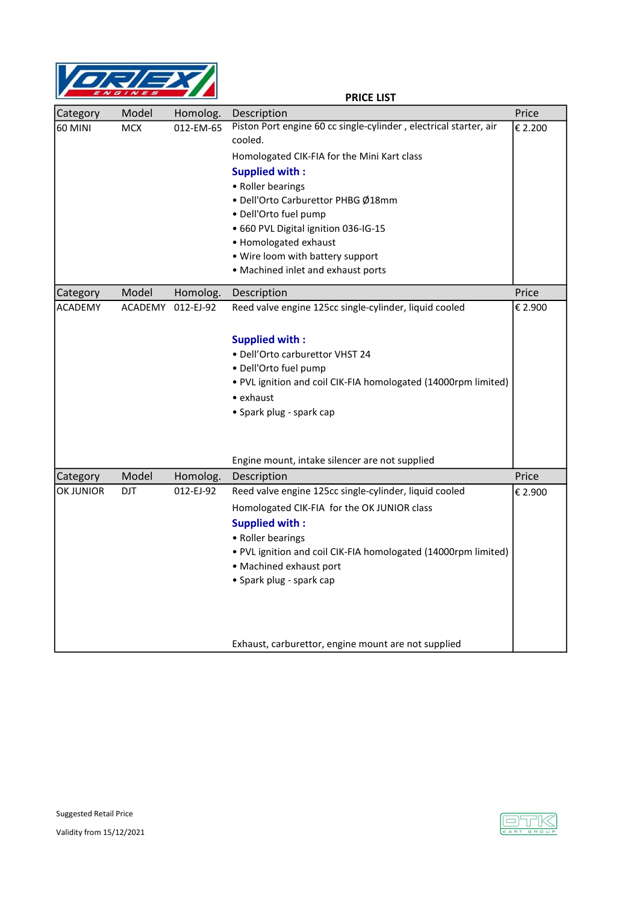

PRICE LIST

| Category         | Model      | Homolog.  | Description                                                       | Price   |
|------------------|------------|-----------|-------------------------------------------------------------------|---------|
| <b>60 MINI</b>   | <b>MCX</b> | 012-EM-65 | Piston Port engine 60 cc single-cylinder, electrical starter, air | € 2.200 |
|                  |            |           | cooled.                                                           |         |
|                  |            |           | Homologated CIK-FIA for the Mini Kart class                       |         |
|                  |            |           | <b>Supplied with:</b>                                             |         |
|                  |            |           | • Roller bearings                                                 |         |
|                  |            |           | · Dell'Orto Carburettor PHBG Ø18mm                                |         |
|                  |            |           | · Dell'Orto fuel pump                                             |         |
|                  |            |           | · 660 PVL Digital ignition 036-IG-15                              |         |
|                  |            |           | • Homologated exhaust                                             |         |
|                  |            |           | • Wire loom with battery support                                  |         |
|                  |            |           | • Machined inlet and exhaust ports                                |         |
| Category         | Model      | Homolog.  | Description                                                       | Price   |
| <b>ACADEMY</b>   | ACADEMY    | 012-EJ-92 | Reed valve engine 125cc single-cylinder, liquid cooled            | € 2.900 |
|                  |            |           |                                                                   |         |
|                  |            |           | <b>Supplied with:</b>                                             |         |
|                  |            |           | · Dell'Orto carburettor VHST 24                                   |         |
|                  |            |           | · Dell'Orto fuel pump                                             |         |
|                  |            |           | . PVL ignition and coil CIK-FIA homologated (14000rpm limited)    |         |
|                  |            |           | $\bullet$ exhaust                                                 |         |
|                  |            |           | • Spark plug - spark cap                                          |         |
|                  |            |           |                                                                   |         |
|                  |            |           |                                                                   |         |
|                  |            |           | Engine mount, intake silencer are not supplied                    |         |
| Category         | Model      | Homolog.  | Description                                                       | Price   |
| <b>OK JUNIOR</b> | <b>DJT</b> | 012-EJ-92 | Reed valve engine 125cc single-cylinder, liquid cooled            | € 2.900 |
|                  |            |           |                                                                   |         |
|                  |            |           | Homologated CIK-FIA for the OK JUNIOR class                       |         |
|                  |            |           | <b>Supplied with:</b>                                             |         |
|                  |            |           | • Roller bearings                                                 |         |
|                  |            |           | . PVL ignition and coil CIK-FIA homologated (14000rpm limited)    |         |
|                  |            |           | • Machined exhaust port                                           |         |
|                  |            |           | • Spark plug - spark cap                                          |         |
|                  |            |           |                                                                   |         |
|                  |            |           |                                                                   |         |
|                  |            |           |                                                                   |         |
|                  |            |           | Exhaust, carburettor, engine mount are not supplied               |         |